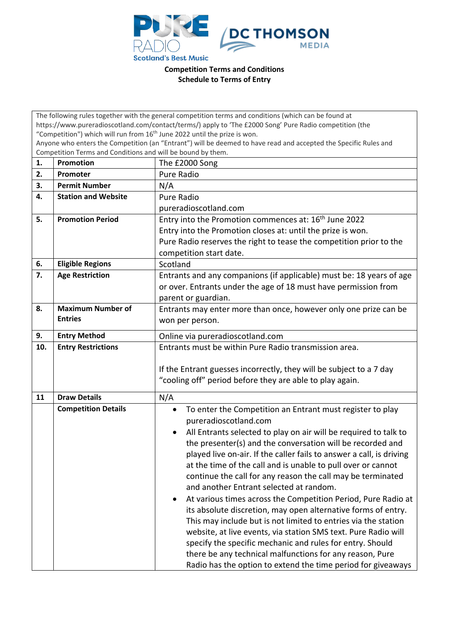

**Competition Terms and Conditions Schedule to Terms of Entry**

| The following rules together with the general competition terms and conditions (which can be found at                                                                           |                            |                                                                               |  |  |
|---------------------------------------------------------------------------------------------------------------------------------------------------------------------------------|----------------------------|-------------------------------------------------------------------------------|--|--|
| https://www.pureradioscotland.com/contact/terms/) apply to 'The £2000 Song' Pure Radio competition (the                                                                         |                            |                                                                               |  |  |
| "Competition") which will run from 16 <sup>th</sup> June 2022 until the prize is won.                                                                                           |                            |                                                                               |  |  |
| Anyone who enters the Competition (an "Entrant") will be deemed to have read and accepted the Specific Rules and<br>Competition Terms and Conditions and will be bound by them. |                            |                                                                               |  |  |
| 1.                                                                                                                                                                              | Promotion                  | The £2000 Song                                                                |  |  |
| 2.                                                                                                                                                                              | Promoter                   | <b>Pure Radio</b>                                                             |  |  |
| 3.                                                                                                                                                                              | <b>Permit Number</b>       | N/A                                                                           |  |  |
| 4.                                                                                                                                                                              | <b>Station and Website</b> | <b>Pure Radio</b>                                                             |  |  |
|                                                                                                                                                                                 |                            | pureradioscotland.com                                                         |  |  |
| 5.                                                                                                                                                                              | <b>Promotion Period</b>    | Entry into the Promotion commences at: 16 <sup>th</sup> June 2022             |  |  |
|                                                                                                                                                                                 |                            | Entry into the Promotion closes at: until the prize is won.                   |  |  |
|                                                                                                                                                                                 |                            | Pure Radio reserves the right to tease the competition prior to the           |  |  |
|                                                                                                                                                                                 |                            | competition start date.                                                       |  |  |
| 6.                                                                                                                                                                              | <b>Eligible Regions</b>    | Scotland                                                                      |  |  |
| 7.                                                                                                                                                                              | <b>Age Restriction</b>     | Entrants and any companions (if applicable) must be: 18 years of age          |  |  |
|                                                                                                                                                                                 |                            | or over. Entrants under the age of 18 must have permission from               |  |  |
|                                                                                                                                                                                 |                            | parent or guardian.                                                           |  |  |
| 8.                                                                                                                                                                              | <b>Maximum Number of</b>   | Entrants may enter more than once, however only one prize can be              |  |  |
|                                                                                                                                                                                 | <b>Entries</b>             | won per person.                                                               |  |  |
| 9.                                                                                                                                                                              | <b>Entry Method</b>        | Online via pureradioscotland.com                                              |  |  |
| 10.                                                                                                                                                                             | <b>Entry Restrictions</b>  | Entrants must be within Pure Radio transmission area.                         |  |  |
|                                                                                                                                                                                 |                            |                                                                               |  |  |
|                                                                                                                                                                                 |                            | If the Entrant guesses incorrectly, they will be subject to a 7 day           |  |  |
|                                                                                                                                                                                 |                            | "cooling off" period before they are able to play again.                      |  |  |
| 11                                                                                                                                                                              | <b>Draw Details</b>        | N/A                                                                           |  |  |
|                                                                                                                                                                                 | <b>Competition Details</b> | To enter the Competition an Entrant must register to play<br>$\bullet$        |  |  |
|                                                                                                                                                                                 |                            | pureradioscotland.com                                                         |  |  |
|                                                                                                                                                                                 |                            | All Entrants selected to play on air will be required to talk to<br>$\bullet$ |  |  |
|                                                                                                                                                                                 |                            | the presenter(s) and the conversation will be recorded and                    |  |  |
|                                                                                                                                                                                 |                            | played live on-air. If the caller fails to answer a call, is driving          |  |  |
|                                                                                                                                                                                 |                            | at the time of the call and is unable to pull over or cannot                  |  |  |
|                                                                                                                                                                                 |                            | continue the call for any reason the call may be terminated                   |  |  |
|                                                                                                                                                                                 |                            | and another Entrant selected at random.                                       |  |  |
|                                                                                                                                                                                 |                            | At various times across the Competition Period, Pure Radio at<br>$\bullet$    |  |  |
|                                                                                                                                                                                 |                            | its absolute discretion, may open alternative forms of entry.                 |  |  |
|                                                                                                                                                                                 |                            | This may include but is not limited to entries via the station                |  |  |
|                                                                                                                                                                                 |                            | website, at live events, via station SMS text. Pure Radio will                |  |  |
|                                                                                                                                                                                 |                            | specify the specific mechanic and rules for entry. Should                     |  |  |
|                                                                                                                                                                                 |                            | there be any technical malfunctions for any reason, Pure                      |  |  |
|                                                                                                                                                                                 |                            | Radio has the option to extend the time period for giveaways                  |  |  |